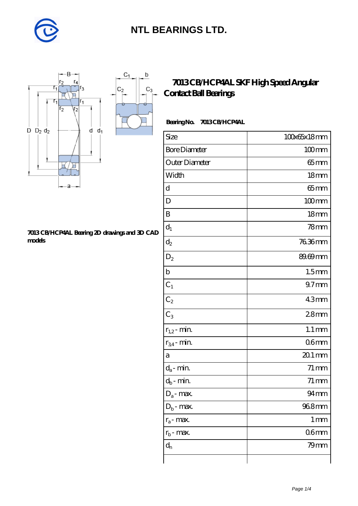

 $\mathsf b$ 

ó

 $C_3$ 



#### **[7013 CB/HCP4AL Bearing 2D drawings and 3D CAD](https://m.diabetesfriends.net/pic-590781.html) [models](https://m.diabetesfriends.net/pic-590781.html)**

### **[7013 CB/HCP4AL SKF High Speed Angular](https://m.diabetesfriends.net/skf-bearing/7013-cb-hcp4al.html) [Contact Ball Bearings](https://m.diabetesfriends.net/skf-bearing/7013-cb-hcp4al.html)**

#### **Bearing No. 7013 CB/HCP4AL**

| Size                       | 100x65x18mm        |
|----------------------------|--------------------|
| <b>Bore Diameter</b>       | $100$ mm           |
| Outer Diameter             | $65$ mm            |
| Width                      | 18 <sub>mm</sub>   |
| d                          | $65 \text{mm}$     |
| D                          | $100$ mm           |
| B                          | 18 <sub>mm</sub>   |
| $d_1$                      | 78 <sub>mm</sub>   |
| $\mathrm{d}_2$             | 7636mm             |
| $\mathrm{D}_2$             | 89.69mm            |
| $\mathbf b$                | 1.5 <sub>mm</sub>  |
| $C_1$                      | 97 <sub>mm</sub>   |
| $C_2$                      | 43mm               |
| $C_3$                      | 28 <sub>mm</sub>   |
| $r_{1,2}$ - min.           | $1.1 \, \text{mm}$ |
| $r_{34}$ - min.            | 06 <sub>mm</sub>   |
| а                          | $201$ mm           |
| $d_a$ - min.               | $71 \,\mathrm{mm}$ |
| $d_b\operatorname{-} \min$ | $71 \,\mathrm{mm}$ |
| $D_a$ - max.               | $94 \text{mm}$     |
| $D_b$ - max.               | 968mm              |
| $r_a$ - max.               | $1 \, \text{mm}$   |
| $r_{b}$ - max.             | 06 <sub>mm</sub>   |
| $d_{n}$                    | 79mm               |
|                            |                    |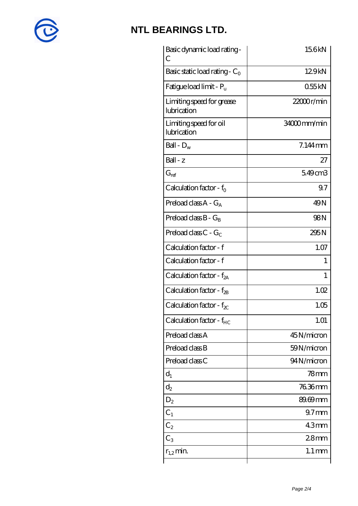

| Basic dynamic load rating-<br>С          | 156kN               |
|------------------------------------------|---------------------|
| Basic static load rating - $C_0$         | 129kN               |
| Fatigue load limit - P <sub>u</sub>      | 055kN               |
| Limiting speed for grease<br>lubrication | $22000$ r/min       |
| Limiting speed for oil<br>lubrication    | 34000mm/min         |
| Ball - $D_w$                             | $7.144$ mm          |
| $Ball - z$                               | 27                  |
| $G_{ref}$                                | 549cm3              |
| Calculation factor - $f_0$               | 9.7                 |
| Preload class $A - G_A$                  | 49 <sub>N</sub>     |
| Preload class $B - G_B$                  | 98 <sub>N</sub>     |
| Preload class $C$ - $G_C$                | 295N                |
| Calculation factor - f                   | 1.07                |
| Calculation factor - f                   | 1                   |
| Calculation factor - f <sub>2A</sub>     | 1                   |
| Calculation factor - $f_{2B}$            | 1.02                |
| Calculation factor - $f_{\chi}$          | 1.05                |
| Calculation factor - $f_{HC}$            | 1.01                |
| Preload class A                          | 45N/micron          |
| Preload class B                          | 59N/micron          |
| Preload class C                          | 94N/micron          |
| $d_1$                                    | 78mm                |
| $d_2$                                    | 76.36mm             |
| $D_2$                                    | 89.69mm             |
| $C_1$                                    | 97 <sub>mm</sub>    |
| $C_2$                                    | 43mm                |
| $C_3$                                    | 28 <sub>mm</sub>    |
| $r_{1,2}$ min.                           | $1.1 \,\mathrm{mm}$ |
|                                          |                     |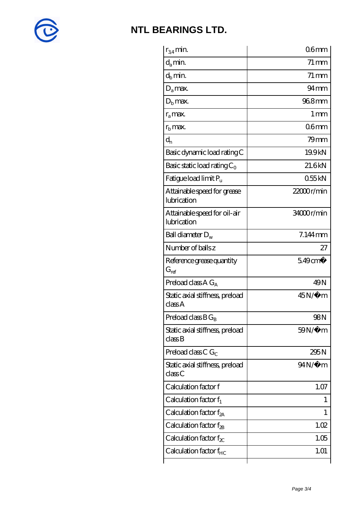

| $r_{34}$ min.                               | 06 <sub>mm</sub>   |
|---------------------------------------------|--------------------|
| $d_a$ min.                                  | $71 \,\mathrm{mm}$ |
| $d_b$ min.                                  | $71 \,\mathrm{mm}$ |
| $D_a$ max.                                  | $94 \text{mm}$     |
| $Db$ max.                                   | 968mm              |
| $r_a$ max.                                  | $1 \,\mathrm{mm}$  |
| $rb$ max.                                   | 06 <sub>mm</sub>   |
| $d_{n}$                                     | $79$ mm            |
| Basic dynamic load rating C                 | 19.9kN             |
| Basic static load rating $C_0$              | 21.6kN             |
| Fatigue load limit Pu                       | 055kN              |
| Attainable speed for grease<br>lubrication  | 22000r/min         |
| Attainable speed for oil-air<br>lubrication | 34000r/min         |
| Ball diameter $D_w$                         | 7.144mm            |
| Number of balls z                           | 27                 |
| Reference grease quantity<br>$G_{ref}$      | $549 \text{cm}^3$  |
| Preload class $A G_A$                       | 49N                |
| Static axial stiffness, preload<br>classA   | $45N/\mu$ m        |
| Preload class $BG_B$                        | 98N                |
| Static axial stiffness, preload<br>classB   | $59N/\mu$ m        |
| Preload class C $G_C$                       | 295N               |
| Static axial stiffness, preload<br>classC   | 94N/μ m            |
| Calculation factor f                        | 1.07               |
| Calculation factor $f_1$                    | $\mathbf{I}$       |
| Calculation factor $f_{2A}$                 | 1                  |
| Calculation factor $f_{\rm 2B}$             | 1.02               |
| Calculation factor $f_{\chi}$               | 1.05               |
| Calculation factor $f_{HC}$                 | 1.01               |
|                                             |                    |